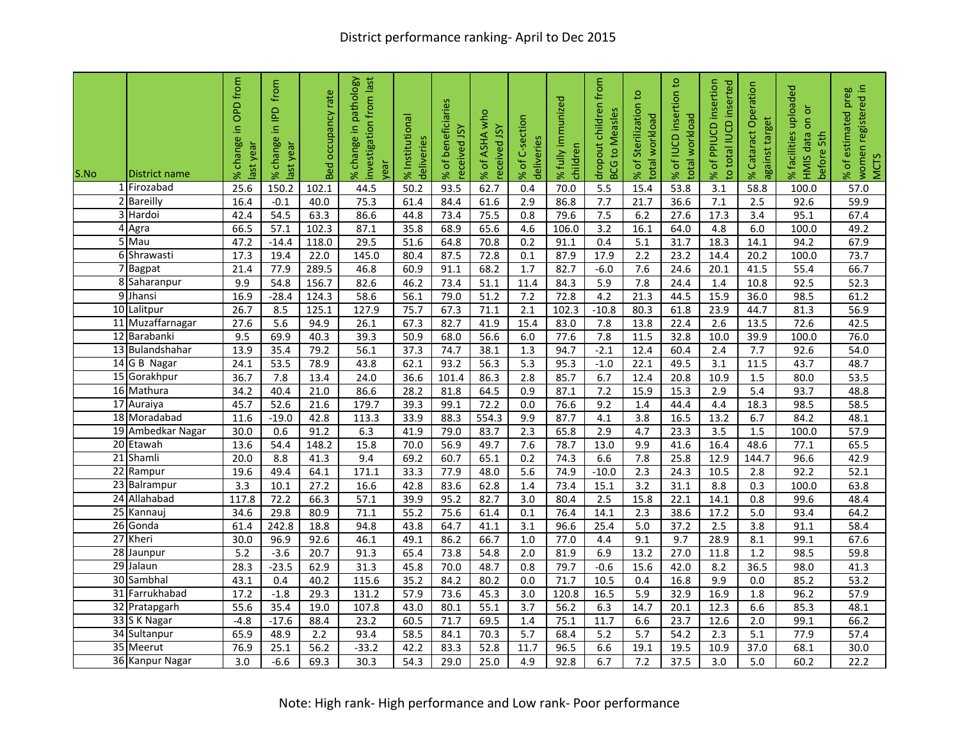| S.No | District name     | in OPD from<br>change i<br>last year<br>$\aleph$ | from<br>$\mathbf{r}$<br>⊇.<br>change<br>ast year<br>৯ৎ | rate<br>Occupancy<br>Bed | pathology<br>from last<br>investigation<br>$\equiv$<br>% change<br>rear | % Institutional<br>deliveries | of beneficiaries<br>eceived JSY<br>×, | ASHA who<br>eceived JSY<br>đ<br>% | % of C-section<br>deliveries | % fully immunized<br>children | dropout children from<br>6S<br>to Measl<br>BCG | Sterilization to<br>otal workload<br>đ<br>% | % of IUCD insertion to<br>workload<br>iotal | insertion<br>to total IUCD inserted<br>PPIUCD<br>đ<br>×. | % Cataract Operation<br>against target | % facilities uploaded<br>ŏ<br>$\overline{5}$<br>HMIS data<br>before 5th | women registered in<br>preg<br>% of estimated<br><b>MCTS</b> |
|------|-------------------|--------------------------------------------------|--------------------------------------------------------|--------------------------|-------------------------------------------------------------------------|-------------------------------|---------------------------------------|-----------------------------------|------------------------------|-------------------------------|------------------------------------------------|---------------------------------------------|---------------------------------------------|----------------------------------------------------------|----------------------------------------|-------------------------------------------------------------------------|--------------------------------------------------------------|
|      | 1 Firozabad       | 25.6                                             | 150.2                                                  | 102.1                    | 44.5                                                                    | 50.2                          | 93.5                                  | 62.7                              | 0.4                          | 70.0                          | $\overline{5.5}$                               | 15.4                                        | 53.8                                        | $\overline{3.1}$                                         | 58.8                                   | 100.0                                                                   | 57.0                                                         |
|      | 2 Bareilly        | 16.4                                             | $-0.1$                                                 | 40.0                     | 75.3                                                                    | 61.4                          | 84.4                                  | 61.6                              | 2.9                          | 86.8                          | 7.7                                            | 21.7                                        | 36.6                                        | 7.1                                                      | 2.5                                    | 92.6                                                                    | 59.9                                                         |
|      | 3 Hardoi          | 42.4                                             | 54.5                                                   | 63.3                     | 86.6                                                                    | 44.8                          | 73.4                                  | 75.5                              | 0.8                          | 79.6                          | 7.5                                            | 6.2                                         | 27.6                                        | 17.3                                                     | 3.4                                    | 95.1                                                                    | 67.4                                                         |
|      | 4 Agra            | 66.5                                             | 57.1                                                   | 102.3                    | 87.1                                                                    | 35.8                          | 68.9                                  | 65.6                              | 4.6                          | 106.0                         | $\overline{3.2}$                               | 16.1                                        | 64.0                                        | 4.8                                                      | 6.0                                    | 100.0                                                                   | 49.2                                                         |
|      | 5 Mau             | 47.2                                             | $-14.4$                                                | 118.0                    | 29.5                                                                    | 51.6                          | 64.8                                  | 70.8                              | 0.2                          | 91.1                          | 0.4                                            | 5.1                                         | 31.7                                        | 18.3                                                     | 14.1                                   | 94.2                                                                    | 67.9                                                         |
|      | 6 Shrawasti       | 17.3                                             | 19.4                                                   | 22.0                     | 145.0                                                                   | 80.4                          | 87.5                                  | 72.8                              | 0.1                          | 87.9                          | 17.9                                           | 2.2                                         | 23.2                                        | 14.4                                                     | 20.2                                   | 100.0                                                                   | 73.7                                                         |
|      | 7 Bagpat          | 21.4                                             | 77.9                                                   | 289.5                    | 46.8                                                                    | 60.9                          | 91.1                                  | 68.2                              | $\overline{1.7}$             | 82.7                          | $-6.0$                                         | 7.6                                         | 24.6                                        | 20.1                                                     | 41.5                                   | 55.4                                                                    | 66.7                                                         |
|      | 8 Saharanpur      | 9.9                                              | 54.8                                                   | 156.7                    | 82.6                                                                    | 46.2                          | 73.4                                  | 51.1                              | 11.4                         | 84.3                          | 5.9                                            | 7.8                                         | 24.4                                        | 1.4                                                      | 10.8                                   | 92.5                                                                    | 52.3                                                         |
|      | 9 Jhansi          | 16.9                                             | $-28.4$                                                | 124.3                    | 58.6                                                                    | 56.1                          | 79.0                                  | 51.2                              | 7.2                          | 72.8                          | 4.2                                            | 21.3                                        | 44.5                                        | 15.9                                                     | 36.0                                   | 98.5                                                                    | 61.2                                                         |
|      | 10 Lalitpur       | 26.7                                             | 8.5                                                    | 125.1                    | 127.9                                                                   | 75.7                          | 67.3                                  | 71.1                              | 2.1                          | 102.3                         | $-10.8$                                        | 80.3                                        | 61.8                                        | 23.9                                                     | 44.7                                   | 81.3                                                                    | 56.9                                                         |
|      | 11 Muzaffarnagar  | 27.6                                             | 5.6                                                    | 94.9                     | 26.1                                                                    | 67.3                          | 82.7                                  | 41.9                              | 15.4                         | 83.0                          | 7.8                                            | 13.8                                        | 22.4                                        | 2.6                                                      | 13.5                                   | 72.6                                                                    | 42.5                                                         |
|      | 12 Barabanki      | 9.5                                              | 69.9                                                   | 40.3                     | 39.3                                                                    | 50.9                          | 68.0                                  | 56.6                              | $6.0\,$                      | 77.6                          | 7.8                                            | 11.5                                        | 32.8                                        | 10.0                                                     | 39.9                                   | 100.0                                                                   | 76.0                                                         |
|      | 13 Bulandshahar   | 13.9                                             | 35.4                                                   | 79.2                     | 56.1                                                                    | 37.3                          | 74.7                                  | 38.1                              | $\overline{1.3}$             | 94.7                          | $-2.1$                                         | 12.4                                        | 60.4                                        | 2.4                                                      | 7.7                                    | 92.6                                                                    | 54.0                                                         |
|      | 14 G B Nagar      | 24.1                                             | 53.5                                                   | 78.9                     | 43.8                                                                    | 62.1                          | 93.2                                  | 56.3                              | 5.3                          | 95.3                          | $-1.0$                                         | 22.1                                        | 49.5                                        | 3.1                                                      | 11.5                                   | 43.7                                                                    | 48.7                                                         |
|      | 15 Gorakhpur      | 36.7                                             | 7.8                                                    | 13.4                     | 24.0                                                                    | 36.6                          | 101.4                                 | 86.3                              | 2.8                          | 85.7                          | 6.7                                            | 12.4                                        | 20.8                                        | 10.9                                                     | 1.5                                    | 80.0                                                                    | $\overline{53.5}$                                            |
|      | 16 Mathura        | 34.2                                             | 40.4                                                   | 21.0                     | 86.6                                                                    | 28.2                          | 81.8                                  | 64.5                              | 0.9                          | 87.1                          | 7.2                                            | 15.9                                        | 15.3                                        | 2.9                                                      | 5.4                                    | 93.7                                                                    | 48.8                                                         |
|      | 17 Auraiya        | 45.7                                             | 52.6                                                   | 21.6                     | 179.7                                                                   | 39.3                          | 99.1                                  | 72.2                              | 0.0                          | 76.6                          | 9.2                                            | 1.4                                         | 44.4                                        | 4.4                                                      | 18.3                                   | 98.5                                                                    | 58.5                                                         |
|      | 18 Moradabad      | 11.6                                             | $-19.0$                                                | 42.8                     | 113.3                                                                   | 33.9                          | 88.3                                  | 554.3                             | 9.9                          | 87.7                          | 4.1                                            | 3.8                                         | 16.5                                        | 13.2                                                     | 6.7                                    | 84.2                                                                    | 48.1                                                         |
|      | 19 Ambedkar Nagar | 30.0                                             | 0.6                                                    | 91.2                     | 6.3                                                                     | 41.9                          | 79.0                                  | 83.7                              | 2.3                          | 65.8                          | 2.9                                            | 4.7                                         | 23.3                                        | 3.5                                                      | 1.5                                    | 100.0                                                                   | 57.9                                                         |
|      | 20 Etawah         | 13.6                                             | 54.4                                                   | 148.2                    | 15.8                                                                    | 70.0                          | 56.9                                  | 49.7                              | 7.6                          | 78.7                          | 13.0                                           | 9.9                                         | 41.6                                        | 16.4                                                     | 48.6                                   | 77.1                                                                    | 65.5                                                         |
|      | 21 Shamli         | 20.0                                             | 8.8                                                    | 41.3                     | 9.4                                                                     | 69.2                          | 60.7                                  | 65.1                              | 0.2                          | 74.3                          | 6.6                                            | 7.8                                         | 25.8                                        | 12.9                                                     | 144.7                                  | 96.6                                                                    | 42.9                                                         |
|      | 22 Rampur         | 19.6                                             | 49.4                                                   | 64.1                     | 171.1                                                                   | 33.3                          | 77.9                                  | 48.0                              | 5.6                          | 74.9                          | $-10.0$                                        | 2.3                                         | 24.3                                        | 10.5                                                     | 2.8                                    | 92.2                                                                    | 52.1                                                         |
|      | 23 Balrampur      | 3.3                                              | 10.1                                                   | 27.2                     | 16.6                                                                    | 42.8                          | 83.6                                  | 62.8                              | 1.4                          | 73.4                          | 15.1                                           | $\overline{3.2}$                            | 31.1                                        | 8.8                                                      | 0.3                                    | 100.0                                                                   | 63.8                                                         |
|      | 24 Allahabad      | 117.8                                            | 72.2                                                   | 66.3                     | 57.1                                                                    | 39.9                          | 95.2                                  | 82.7                              | $\overline{3.0}$             | 80.4                          | $\overline{2.5}$                               | 15.8                                        | 22.1                                        | 14.1                                                     | 0.8                                    | 99.6                                                                    | 48.4                                                         |
|      | 25 Kannauj        | 34.6                                             | 29.8                                                   | 80.9                     | 71.1                                                                    | 55.2                          | 75.6                                  | 61.4                              | 0.1                          | 76.4                          | 14.1                                           | 2.3                                         | 38.6                                        | 17.2                                                     | 5.0                                    | 93.4                                                                    | 64.2                                                         |
|      | 26 Gonda          | 61.4                                             | 242.8                                                  | 18.8                     | 94.8                                                                    | 43.8                          | 64.7                                  | 41.1                              | 3.1                          | 96.6                          | 25.4                                           | 5.0                                         | 37.2                                        | 2.5                                                      | 3.8                                    | 91.1                                                                    | 58.4                                                         |
|      | 27 Kheri          | 30.0                                             | 96.9                                                   | 92.6                     | 46.1                                                                    | 49.1                          | 86.2                                  | 66.7                              | $\overline{1.0}$             | 77.0                          | 4.4                                            | 9.1                                         | 9.7                                         | 28.9                                                     | 8.1                                    | 99.1                                                                    | 67.6                                                         |
|      | 28 Jaunpur        | 5.2                                              | $-3.6$                                                 | 20.7                     | 91.3                                                                    | 65.4                          | 73.8                                  | 54.8                              | 2.0                          | 81.9                          | 6.9                                            | 13.2                                        | 27.0                                        | 11.8                                                     | 1.2                                    | 98.5                                                                    | 59.8                                                         |
|      | 29 Jalaun         | 28.3                                             | $-23.5$                                                | 62.9                     | 31.3                                                                    | 45.8                          | 70.0                                  | 48.7                              | 0.8                          | 79.7                          | $-0.6$                                         | 15.6                                        | 42.0                                        | 8.2                                                      | 36.5                                   | 98.0                                                                    | 41.3                                                         |
|      | 30 Sambhal        | 43.1                                             | 0.4                                                    | 40.2                     | 115.6                                                                   | 35.2                          | 84.2                                  | 80.2                              | 0.0                          | 71.7                          | 10.5                                           | 0.4                                         | 16.8                                        | 9.9                                                      | 0.0                                    | 85.2                                                                    | 53.2                                                         |
|      | 31 Farrukhabad    | 17.2                                             | $-1.8$                                                 | 29.3                     | 131.2                                                                   | 57.9                          | 73.6                                  | 45.3                              | $\overline{3.0}$             | 120.8                         | 16.5                                           | 5.9                                         | 32.9                                        | 16.9                                                     | 1.8                                    | 96.2                                                                    | 57.9                                                         |
|      | 32 Pratapgarh     | 55.6                                             | 35.4                                                   | 19.0                     | 107.8                                                                   | 43.0                          | 80.1                                  | 55.1                              | $\overline{3.7}$             | 56.2                          | 6.3                                            | 14.7                                        | 20.1                                        | 12.3                                                     | 6.6                                    | 85.3                                                                    | 48.1                                                         |
|      | 33 S K Nagar      | $-4.8$                                           | $-17.6$                                                | 88.4                     | 23.2                                                                    | 60.5                          | 71.7                                  | 69.5                              | 1.4                          | 75.1                          | 11.7                                           | 6.6                                         | 23.7                                        | 12.6                                                     | 2.0                                    | 99.1                                                                    | 66.2                                                         |
|      | 34 Sultanpur      | 65.9                                             | 48.9                                                   | 2.2                      | 93.4                                                                    | 58.5                          | 84.1                                  | 70.3                              | $\overline{5.7}$             | 68.4                          | 5.2                                            | $\overline{5.7}$                            | 54.2                                        | 2.3                                                      | 5.1                                    | 77.9                                                                    | 57.4                                                         |
|      | 35 Meerut         | 76.9                                             | 25.1                                                   | 56.2                     | $-33.2$                                                                 | 42.2                          | 83.3                                  | 52.8                              | 11.7                         | 96.5                          | 6.6                                            | 19.1                                        | 19.5                                        | 10.9                                                     | 37.0                                   | 68.1                                                                    | 30.0                                                         |
|      | 36 Kanpur Nagar   | $\overline{3.0}$                                 | $-6.6$                                                 | 69.3                     | 30.3                                                                    | 54.3                          | 29.0                                  | 25.0                              | 4.9                          | 92.8                          | 6.7                                            | 7.2                                         | 37.5                                        | 3.0                                                      | 5.0                                    | 60.2                                                                    | 22.2                                                         |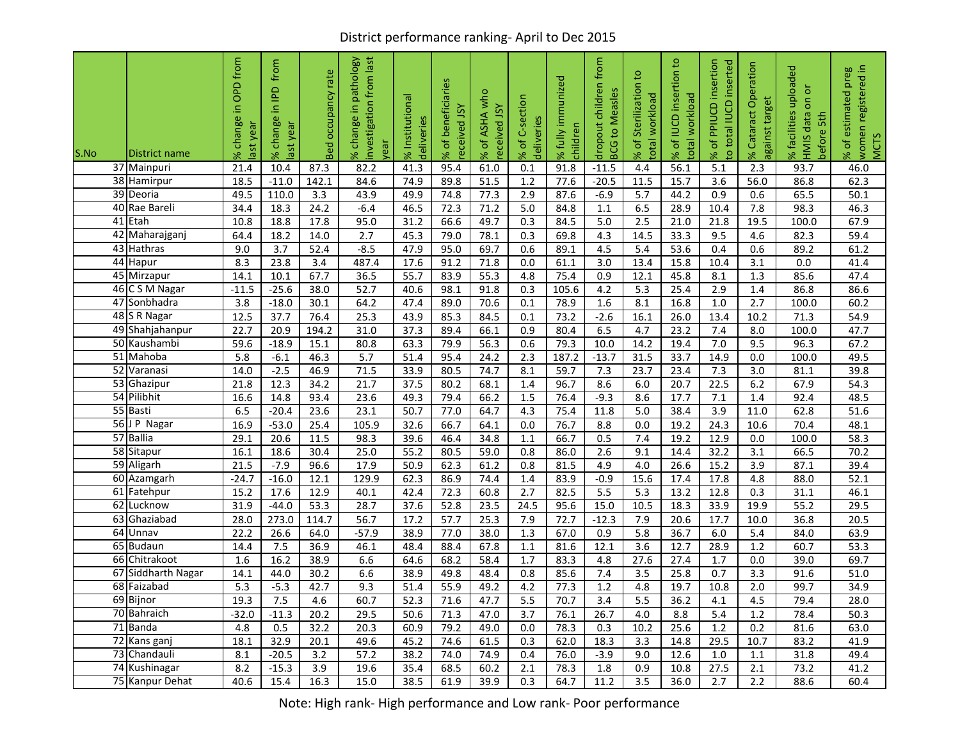## District performance ranking- April to Dec 2015

| S.No | District name            | OPD from<br>$\equiv$<br>change<br>ast year<br>$\%$ | from<br>으<br>$\equiv$<br>change<br>ast year<br>ৼ | rate<br>Occupancy<br>Bed | pathology<br>from last<br>investigation<br>$\equiv$<br>% change<br>yea | % Institutional<br>deliveries | of beneficiaries<br>ceived JSY<br>Se<br>ၑ | ASHA who<br>received JSY<br>đ<br>X | C-section<br>deliveries<br>% of | fully immunized<br>children<br>S | dropout children from<br>to Measles<br><b>BCG</b> | Sterilization to<br>workload<br>total<br>đ<br>S | % of IUCD insertion to<br>workload<br>total | insertion<br>total IUCD inserted<br>PPIUCD<br>đ<br>$\overline{5}$<br>S | % Cataract Operation<br>against target | uploaded<br>ŏ<br>δ<br>% facilities<br>HMIS data<br>5th<br>before | women registered in<br>preg<br>estimated<br><b>MCTS</b><br>% of |
|------|--------------------------|----------------------------------------------------|--------------------------------------------------|--------------------------|------------------------------------------------------------------------|-------------------------------|-------------------------------------------|------------------------------------|---------------------------------|----------------------------------|---------------------------------------------------|-------------------------------------------------|---------------------------------------------|------------------------------------------------------------------------|----------------------------------------|------------------------------------------------------------------|-----------------------------------------------------------------|
|      | 37 Mainpuri              | 21.4                                               | 10.4                                             | 87.3                     | 82.2                                                                   | 41.3                          | 95.4                                      | 61.0                               | 0.1                             | 91.8                             | $-11.5$                                           | 4.4                                             | 56.1                                        | 5.1                                                                    | 2.3                                    | 93.7                                                             | 46.0                                                            |
|      | 38 Hamirpur              | 18.5                                               | $-11.0$                                          | 142.1                    | 84.6                                                                   | 74.9                          | 89.8                                      | 51.5                               | 1.2                             | 77.6                             | $-20.5$                                           | 11.5                                            | 15.7                                        | 3.6                                                                    | 56.0                                   | 86.8                                                             | 62.3                                                            |
|      | 39 Deoria                | 49.5                                               | 110.0                                            | 3.3                      | 43.9                                                                   | 49.9                          | 74.8                                      | 77.3                               | 2.9                             | 87.6                             | $-6.9$                                            | 5.7                                             | 44.2                                        | 0.9                                                                    | 0.6                                    | 65.5                                                             | 50.1                                                            |
| 40   | Rae Bareli               | 34.4                                               | 18.3                                             | 24.2                     | $-6.4$                                                                 | 46.5                          | 72.3                                      | 71.2                               | 5.0                             | 84.8                             | 1.1                                               | 6.5                                             | 28.9                                        | 10.4                                                                   | 7.8                                    | 98.3                                                             | 46.3                                                            |
|      | 41 Etah                  | 10.8                                               | 18.8                                             | 17.8                     | 95.0                                                                   | 31.2                          | 66.6                                      | 49.7                               | 0.3                             | 84.5                             | 5.0                                               | 2.5                                             | 21.0                                        | 21.8                                                                   | 19.5                                   | 100.0                                                            | 67.9                                                            |
|      | 42 Maharajganj           | 64.4                                               | 18.2                                             | 14.0                     | 2.7                                                                    | 45.3                          | 79.0                                      | 78.1                               | 0.3                             | 69.8                             | 4.3                                               | 14.5                                            | 33.3                                        | 9.5                                                                    | 4.6                                    | 82.3                                                             | 59.4                                                            |
|      | 43 Hathras               | 9.0                                                | 3.7                                              | 52.4                     | $-8.5$                                                                 | 47.9                          | 95.0                                      | 69.7                               | 0.6                             | 89.1                             | 4.5                                               | 5.4                                             | 53.6                                        | 0.4                                                                    | 0.6                                    | 89.2                                                             | 61.2                                                            |
|      | 44 Hapur                 | 8.3                                                | 23.8                                             | $\overline{3.4}$         | 487.4                                                                  | 17.6                          | 91.2                                      | 71.8                               | 0.0                             | 61.1                             | $\overline{3.0}$                                  | 13.4                                            | 15.8                                        | 10.4                                                                   | 3.1                                    | 0.0                                                              | 41.4                                                            |
|      | 45 Mirzapur              | 14.1                                               | 10.1                                             | 67.7                     | 36.5                                                                   | $55.\overline{7}$             | 83.9                                      | 55.3                               | 4.8                             | 75.4                             | 0.9                                               | 12.1                                            | 45.8                                        | 8.1                                                                    | 1.3                                    | 85.6                                                             | 47.4                                                            |
|      | 46 C S M Nagar           | $-11.5$                                            | $-25.6$                                          | 38.0                     | 52.7                                                                   | 40.6                          | 98.1                                      | 91.8                               | 0.3                             | 105.6                            | 4.2                                               | 5.3                                             | 25.4                                        | 2.9                                                                    | 1.4                                    | 86.8                                                             | 86.6                                                            |
|      | 47 Sonbhadra             | 3.8                                                | $-18.0$                                          | 30.1                     | 64.2                                                                   | 47.4                          | 89.0                                      | 70.6                               | 0.1                             | 78.9                             | 1.6                                               | 8.1                                             | 16.8                                        | 1.0                                                                    | 2.7                                    | 100.0                                                            | 60.2                                                            |
|      | 48 S R Nagar             | 12.5                                               | 37.7                                             | 76.4                     | 25.3                                                                   | 43.9                          | 85.3                                      | 84.5                               | 0.1                             | 73.2                             | $-2.6$                                            | 16.1                                            | 26.0                                        | 13.4                                                                   | 10.2                                   | 71.3                                                             | 54.9                                                            |
|      | 49 Shahjahanpur          | 22.7                                               | 20.9                                             | 194.2                    | 31.0                                                                   | 37.3                          | 89.4                                      | 66.1                               | 0.9                             | 80.4                             | 6.5                                               | 4.7                                             | 23.2                                        | 7.4                                                                    | 8.0                                    | 100.0                                                            | 47.7                                                            |
|      | 50 Kaushambi             | 59.6                                               | $-18.9$                                          | 15.1                     | 80.8                                                                   | 63.3                          | 79.9                                      | 56.3                               | 0.6                             | 79.3                             | 10.0                                              | 14.2                                            | 19.4                                        | 7.0                                                                    | 9.5                                    | 96.3                                                             | 67.2                                                            |
|      | 51 Mahoba<br>52 Varanasi | 5.8                                                | $-6.1$                                           | 46.3                     | 5.7                                                                    | 51.4                          | 95.4                                      | 24.2<br>74.7                       | 2.3                             | 187.2                            | $-13.7$                                           | 31.5                                            | 33.7                                        | 14.9                                                                   | 0.0                                    | 100.0                                                            | 49.5                                                            |
|      | 53 Ghazipur              | 14.0<br>21.8                                       | $-2.5$<br>12.3                                   | 46.9<br>34.2             | 71.5<br>21.7                                                           | 33.9<br>37.5                  | 80.5<br>80.2                              | 68.1                               | 8.1<br>1.4                      | 59.7<br>96.7                     | 7.3<br>8.6                                        | 23.7<br>6.0                                     | 23.4<br>20.7                                | 7.3<br>22.5                                                            | 3.0<br>6.2                             | 81.1<br>67.9                                                     | 39.8<br>54.3                                                    |
|      | 54 Pilibhit              |                                                    | 14.8                                             | 93.4                     | 23.6                                                                   | 49.3                          | 79.4                                      | 66.2                               | 1.5                             | 76.4                             | $-9.3$                                            | 8.6                                             | 17.7                                        | 7.1                                                                    | 1.4                                    | 92.4                                                             | 48.5                                                            |
|      | 55 Basti                 | 16.6<br>6.5                                        | $-20.4$                                          | 23.6                     | 23.1                                                                   | 50.7                          | 77.0                                      | 64.7                               | 4.3                             | 75.4                             | 11.8                                              | 5.0                                             | 38.4                                        | 3.9                                                                    | 11.0                                   | 62.8                                                             | 51.6                                                            |
|      | 56 J P Nagar             | 16.9                                               | $-53.0$                                          | 25.4                     | 105.9                                                                  | 32.6                          | 66.7                                      | 64.1                               | 0.0                             | 76.7                             | 8.8                                               | 0.0                                             | 19.2                                        | 24.3                                                                   | 10.6                                   | 70.4                                                             | 48.1                                                            |
|      | 57 Ballia                | 29.1                                               | 20.6                                             | 11.5                     | 98.3                                                                   | 39.6                          | 46.4                                      | 34.8                               | 1.1                             | 66.7                             | 0.5                                               | 7.4                                             | 19.2                                        | 12.9                                                                   | 0.0                                    | 100.0                                                            | 58.3                                                            |
|      | 58 Sitapur               | 16.1                                               | 18.6                                             | 30.4                     | 25.0                                                                   | 55.2                          | 80.5                                      | 59.0                               | 0.8                             | 86.0                             | 2.6                                               | 9.1                                             | 14.4                                        | 32.2                                                                   | 3.1                                    | 66.5                                                             | 70.2                                                            |
|      | 59 Aligarh               | 21.5                                               | $-7.9$                                           | 96.6                     | 17.9                                                                   | 50.9                          | 62.3                                      | 61.2                               | 0.8                             | 81.5                             | 4.9                                               | 4.0                                             | 26.6                                        | 15.2                                                                   | 3.9                                    | 87.1                                                             | 39.4                                                            |
|      | 60 Azamgarh              | $-24.7$                                            | $-16.0$                                          | 12.1                     | 129.9                                                                  | 62.3                          | 86.9                                      | 74.4                               | 1.4                             | 83.9                             | $-0.9$                                            | 15.6                                            | 17.4                                        | 17.8                                                                   | 4.8                                    | 88.0                                                             | 52.1                                                            |
|      | 61 Fatehpur              | 15.2                                               | 17.6                                             | 12.9                     | 40.1                                                                   | 42.4                          | 72.3                                      | 60.8                               | 2.7                             | 82.5                             | $\overline{5.5}$                                  | $\overline{5.3}$                                | 13.2                                        | 12.8                                                                   | 0.3                                    | 31.1                                                             | 46.1                                                            |
|      | 62 Lucknow               | 31.9                                               | $-44.0$                                          | 53.3                     | 28.7                                                                   | 37.6                          | 52.8                                      | 23.5                               | 24.5                            | 95.6                             | 15.0                                              | 10.5                                            | 18.3                                        | 33.9                                                                   | 19.9                                   | 55.2                                                             | 29.5                                                            |
|      | 63 Ghaziabad             | 28.0                                               | 273.0                                            | 114.7                    | 56.7                                                                   | 17.2                          | 57.7                                      | 25.3                               | 7.9                             | 72.7                             | $-12.3$                                           | 7.9                                             | 20.6                                        | 17.7                                                                   | 10.0                                   | 36.8                                                             | 20.5                                                            |
|      | $\overline{64}$ Unnav    | 22.2                                               | 26.6                                             | 64.0                     | $-57.9$                                                                | 38.9                          | 77.0                                      | 38.0                               | 1.3                             | 67.0                             | 0.9                                               | 5.8                                             | 36.7                                        | 6.0                                                                    | 5.4                                    | 84.0                                                             | 63.9                                                            |
|      | 65 Budaun                | 14.4                                               | 7.5                                              | 36.9                     | 46.1                                                                   | 48.4                          | 88.4                                      | 67.8                               | 1.1                             | 81.6                             | 12.1                                              | 3.6                                             | 12.7                                        | 28.9                                                                   | 1.2                                    | 60.7                                                             | 53.3                                                            |
|      | 66 Chitrakoot            | 1.6                                                | 16.2                                             | 38.9                     | 6.6                                                                    | 64.6                          | 68.2                                      | 58.4                               | 1.7                             | 83.3                             | 4.8                                               | 27.6                                            | 27.4                                        | 1.7                                                                    | 0.0                                    | 39.0                                                             | 69.7                                                            |
|      | 67 Siddharth Nagar       | 14.1                                               | 44.0                                             | 30.2                     | 6.6                                                                    | 38.9                          | 49.8                                      | 48.4                               | 0.8                             | 85.6                             | 7.4                                               | 3.5                                             | 25.8                                        | 0.7                                                                    | 3.3                                    | 91.6                                                             | 51.0                                                            |
|      | 68 Faizabad              | 5.3                                                | $-5.3$                                           | 42.7                     | 9.3                                                                    | 51.4                          | 55.9                                      | 49.2                               | 4.2                             | 77.3                             | 1.2                                               | 4.8                                             | 19.7                                        | 10.8                                                                   | 2.0                                    | 99.7                                                             | 34.9                                                            |
|      | 69 Bijnor                | 19.3                                               | 7.5                                              | $4.6\,$                  | 60.7                                                                   | 52.3                          | 71.6                                      | 47.7                               | 5.5                             | 70.7                             | 3.4                                               | 5.5                                             | 36.2                                        | 4.1                                                                    | 4.5                                    | 79.4                                                             | 28.0                                                            |
|      | 70 Bahraich              | $-32.0$                                            | $-11.3$                                          | 20.2                     | 29.5                                                                   | 50.6                          | 71.3                                      | 47.0                               | 3.7                             | 76.1                             | 26.7                                              | 4.0                                             | 8.8                                         | 5.4                                                                    | 1.2                                    | 78.4                                                             | 50.3                                                            |
|      | 71 Banda                 | 4.8                                                | 0.5                                              | 32.2                     | 20.3                                                                   | 60.9                          | 79.2                                      | 49.0                               | $0.0\,$                         | 78.3                             | 0.3                                               | 10.2                                            | 25.6                                        | 1.2                                                                    | 0.2                                    | 81.6                                                             | 63.0                                                            |
|      | 72 Kans ganj             | 18.1                                               | 32.9                                             | 20.1                     | 49.6                                                                   | 45.2                          | 74.6                                      | 61.5                               | 0.3                             | 62.0                             | 18.3                                              | 3.3                                             | 14.8                                        | 29.5                                                                   | 10.7                                   | 83.2                                                             | 41.9                                                            |
|      | 73 Chandauli             | 8.1                                                | $-20.5$                                          | 3.2                      | 57.2                                                                   | 38.2                          | 74.0                                      | 74.9                               | 0.4                             | 76.0                             | $-3.9$                                            | 9.0                                             | 12.6                                        | 1.0                                                                    | 1.1                                    | 31.8                                                             | 49.4                                                            |
|      | 74 Kushinagar            | 8.2                                                | $-15.3$                                          | $\overline{3.9}$         | 19.6                                                                   | 35.4                          | 68.5                                      | 60.2                               | 2.1                             | 78.3                             | 1.8                                               | 0.9                                             | 10.8                                        | 27.5                                                                   | 2.1                                    | 73.2                                                             | 41.2                                                            |
|      | 75 Kanpur Dehat          | 40.6                                               | 15.4                                             | 16.3                     | 15.0                                                                   | 38.5                          | 61.9                                      | 39.9                               | 0.3                             | 64.7                             | 11.2                                              | 3.5                                             | 36.0                                        | 2.7                                                                    | 2.2                                    | 88.6                                                             | 60.4                                                            |

Note: High rank- High performance and Low rank- Poor performance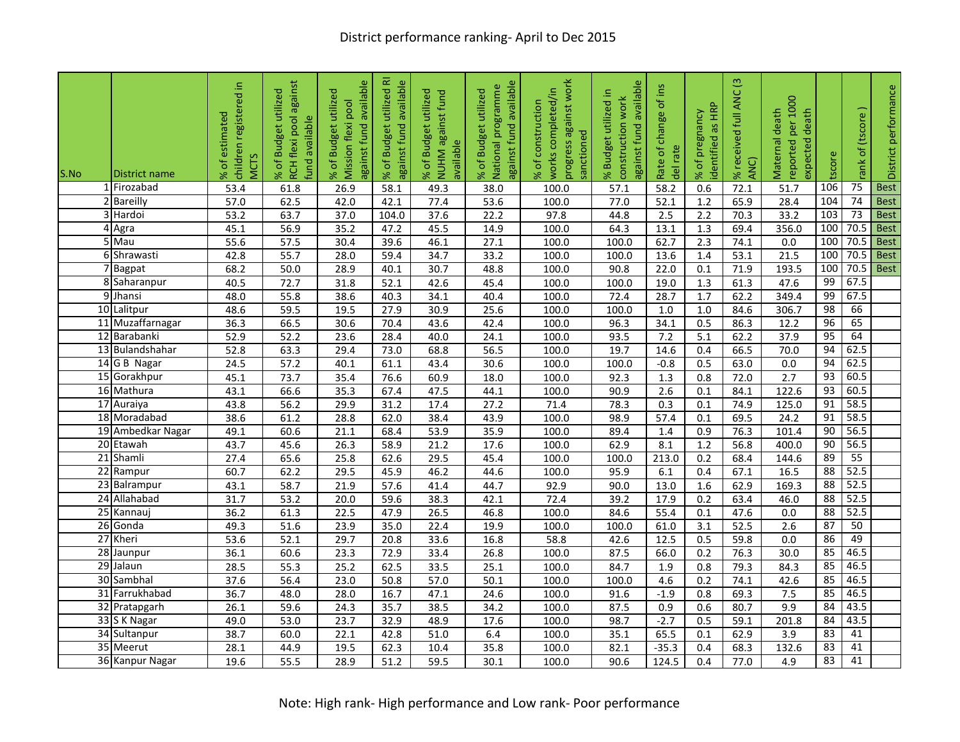| S.No | District name           | children registered in<br>estimated<br><b>MCTS</b><br>đ<br>۶Ś | RCH flexi pool against<br>% of Budget utilized<br><b>Jund</b> available | available<br>% of Budget utilized<br>Mission flexi pool<br>against fund | ᄒ<br>available<br>utilized<br>% of Budget<br>against fund | utilized<br>NUHM against fund<br><b>Budget</b><br>available<br>ъ<br>৯ং | against fund available<br>National programme<br>% of Budget utilized | progress against work<br>completed/in<br>construction<br>sanctioned<br>works<br>% of | available<br>utilized in<br>construction work<br>against fund<br>% Budget | of ins<br>Rate of change<br>del rate | dentified as HRP<br>pregnancy<br>đ<br>Se | % received full ANC (3<br>ANC) | reported per 1000<br>Maternal death<br>death<br>expected | tscore | ank of (tscore) | District performance |
|------|-------------------------|---------------------------------------------------------------|-------------------------------------------------------------------------|-------------------------------------------------------------------------|-----------------------------------------------------------|------------------------------------------------------------------------|----------------------------------------------------------------------|--------------------------------------------------------------------------------------|---------------------------------------------------------------------------|--------------------------------------|------------------------------------------|--------------------------------|----------------------------------------------------------|--------|-----------------|----------------------|
|      | 1 Firozabad             | 53.4                                                          | 61.8                                                                    | 26.9                                                                    | 58.1                                                      | 49.3                                                                   | 38.0                                                                 | 100.0                                                                                | 57.1                                                                      | 58.2                                 | 0.6                                      | 72.1                           | 51.7                                                     | 106    | 75              | <b>Best</b>          |
|      | $\overline{2}$ Bareilly | 57.0                                                          | 62.5                                                                    | 42.0                                                                    | 42.1                                                      | 77.4                                                                   | 53.6                                                                 | 100.0                                                                                | 77.0                                                                      | 52.1                                 | $1.2$                                    | 65.9                           | 28.4                                                     | 104    | 74              | <b>Best</b>          |
|      | 3 Hardoi                | 53.2                                                          | 63.7                                                                    | 37.0                                                                    | 104.0                                                     | 37.6                                                                   | 22.2                                                                 | 97.8                                                                                 | 44.8                                                                      | $\overline{2.5}$                     | 2.2                                      | 70.3                           | 33.2                                                     | 103    | 73              | <b>Best</b>          |
|      | 4 Agra                  | 45.1                                                          | 56.9                                                                    | 35.2                                                                    | 47.2                                                      | 45.5                                                                   | 14.9                                                                 | 100.0                                                                                | 64.3                                                                      | 13.1                                 | 1.3                                      | 69.4                           | 356.0                                                    | 100    | 70.5            | <b>Best</b>          |
|      | 5 Mau                   | 55.6                                                          | 57.5                                                                    | 30.4                                                                    | 39.6                                                      | 46.1                                                                   | 27.1                                                                 | 100.0                                                                                | 100.0                                                                     | 62.7                                 | 2.3                                      | 74.1                           | 0.0                                                      | 100    | 70.5            | <b>Best</b>          |
|      | 6 Shrawasti             | 42.8                                                          | 55.7                                                                    | 28.0                                                                    | 59.4                                                      | 34.7                                                                   | 33.2                                                                 | 100.0                                                                                | 100.0                                                                     | 13.6                                 | 1.4                                      | 53.1                           | 21.5                                                     | 100    | 70.5            | <b>Best</b>          |
|      | 7Bagpat                 | 68.2                                                          | 50.0                                                                    | 28.9                                                                    | 40.1                                                      | 30.7                                                                   | 48.8                                                                 | 100.0                                                                                | 90.8                                                                      | 22.0                                 | 0.1                                      | 71.9                           | 193.5                                                    | 100    | 70.5            | <b>Best</b>          |
|      | 8 Saharanpur            | 40.5                                                          | 72.7                                                                    | 31.8                                                                    | 52.1                                                      | 42.6                                                                   | 45.4                                                                 | 100.0                                                                                | 100.0                                                                     | 19.0                                 | 1.3                                      | 61.3                           | 47.6                                                     | 99     | 67.5            |                      |
|      | 9 Jhansi                | 48.0                                                          | 55.8                                                                    | 38.6                                                                    | 40.3                                                      | 34.1                                                                   | 40.4                                                                 | 100.0                                                                                | 72.4                                                                      | 28.7                                 | 1.7                                      | 62.2                           | 349.4                                                    | 99     | 67.5            |                      |
|      | 10 Lalitpur             | 48.6                                                          | 59.5                                                                    | 19.5                                                                    | 27.9                                                      | 30.9                                                                   | 25.6                                                                 | 100.0                                                                                | 100.0                                                                     | 1.0                                  | 1.0                                      | 84.6                           | 306.7                                                    | 98     | 66              |                      |
|      | 11 Muzaffarnagar        | 36.3                                                          | 66.5                                                                    | 30.6                                                                    | 70.4                                                      | 43.6                                                                   | 42.4                                                                 | 100.0                                                                                | 96.3                                                                      | 34.1                                 | 0.5                                      | 86.3                           | 12.2                                                     | 96     | 65              |                      |
|      | 12 Barabanki            | 52.9                                                          | 52.2                                                                    | 23.6                                                                    | 28.4                                                      | 40.0                                                                   | 24.1                                                                 | 100.0                                                                                | 93.5                                                                      | 7.2                                  | 5.1                                      | 62.2                           | 37.9                                                     | 95     | 64              |                      |
|      | 13 Bulandshahar         | 52.8                                                          | 63.3                                                                    | 29.4                                                                    | 73.0                                                      | 68.8                                                                   | 56.5                                                                 | 100.0                                                                                | 19.7                                                                      | 14.6                                 | 0.4                                      | 66.5                           | 70.0                                                     | 94     | 62.5            |                      |
|      | 14 G B Nagar            | 24.5                                                          | 57.2                                                                    | 40.1                                                                    | 61.1                                                      | 43.4                                                                   | 30.6                                                                 | 100.0                                                                                | 100.0                                                                     | $-0.8$                               | 0.5                                      | 63.0                           | 0.0                                                      | 94     | 62.5            |                      |
|      | 15 Gorakhpur            | 45.1                                                          | 73.7                                                                    | 35.4                                                                    | 76.6                                                      | 60.9                                                                   | 18.0                                                                 | 100.0                                                                                | 92.3                                                                      | 1.3                                  | 0.8                                      | 72.0                           | 2.7                                                      | 93     | 60.5            |                      |
|      | 16 Mathura              | 43.1                                                          | 66.6                                                                    | 35.3                                                                    | 67.4                                                      | 47.5                                                                   | 44.1                                                                 | 100.0                                                                                | 90.9                                                                      | 2.6                                  | 0.1                                      | 84.1                           | 122.6                                                    | 93     | 60.5            |                      |
|      | 17 Auraiya              | 43.8                                                          | 56.2                                                                    | 29.9                                                                    | 31.2                                                      | 17.4                                                                   | 27.2                                                                 | 71.4                                                                                 | 78.3                                                                      | 0.3                                  | 0.1                                      | 74.9                           | 125.0                                                    | 91     | 58.5            |                      |
|      | 18 Moradabad            | 38.6                                                          | 61.2                                                                    | 28.8                                                                    | 62.0                                                      | 38.4                                                                   | 43.9                                                                 | 100.0                                                                                | 98.9                                                                      | 57.4                                 | 0.1                                      | 69.5                           | 24.2                                                     | 91     | 58.5            |                      |
|      | 19 Ambedkar Nagar       | 49.1                                                          | 60.6                                                                    | 21.1                                                                    | 68.4                                                      | 53.9                                                                   | 35.9                                                                 | 100.0                                                                                | 89.4                                                                      | 1.4                                  | $\overline{0.9}$                         | 76.3                           | 101.4                                                    | 90     | 56.5            |                      |
|      | 20 Etawah               | 43.7                                                          | 45.6                                                                    | 26.3                                                                    | 58.9                                                      | 21.2                                                                   | 17.6                                                                 | 100.0                                                                                | 62.9                                                                      | 8.1                                  | 1.2                                      | 56.8                           | 400.0                                                    | 90     | 56.5            |                      |
|      | 21 Shamli               | 27.4                                                          | 65.6                                                                    | 25.8                                                                    | 62.6                                                      | 29.5                                                                   | 45.4                                                                 | 100.0                                                                                | 100.0                                                                     | 213.0                                | 0.2                                      | 68.4                           | 144.6                                                    | 89     | 55              |                      |
|      | 22 Rampur               | 60.7                                                          | 62.2                                                                    | 29.5                                                                    | 45.9                                                      | 46.2                                                                   | 44.6                                                                 | 100.0                                                                                | 95.9                                                                      | 6.1                                  | 0.4                                      | 67.1                           | $\frac{16.5}{ }$                                         | 88     | 52.5            |                      |
|      | 23 Balrampur            | 43.1                                                          | 58.7                                                                    | 21.9                                                                    | 57.6                                                      | 41.4                                                                   | 44.7                                                                 | 92.9                                                                                 | 90.0                                                                      | 13.0                                 | 1.6                                      | 62.9                           | 169.3                                                    | 88     | 52.5            |                      |
|      | 24 Allahabad            | 31.7                                                          | 53.2                                                                    | $\overline{20.0}$                                                       | 59.6                                                      | 38.3                                                                   | 42.1                                                                 | 72.4                                                                                 | 39.2                                                                      | 17.9                                 | $\overline{0.2}$                         | 63.4                           | 46.0                                                     | 88     | 52.5            |                      |
|      | 25 Kannauj              | 36.2                                                          | 61.3                                                                    | 22.5                                                                    | 47.9                                                      | 26.5                                                                   | 46.8                                                                 | 100.0                                                                                | 84.6                                                                      | 55.4                                 | 0.1                                      | 47.6                           | $0.0\,$                                                  | 88     | 52.5            |                      |
|      | 26 Gonda                | 49.3                                                          | 51.6                                                                    | 23.9                                                                    | 35.0                                                      | 22.4                                                                   | 19.9                                                                 | 100.0                                                                                | 100.0                                                                     | 61.0                                 | 3.1                                      | 52.5                           | 2.6                                                      | 87     | 50              |                      |
|      | 27 Kheri                | 53.6                                                          | 52.1                                                                    | 29.7                                                                    | 20.8                                                      | 33.6                                                                   | 16.8                                                                 | 58.8                                                                                 | 42.6                                                                      | 12.5                                 | 0.5                                      | 59.8                           | 0.0                                                      | 86     | 49              |                      |
|      | 28 Jaunpur              | 36.1                                                          | 60.6                                                                    | 23.3                                                                    | 72.9                                                      | 33.4                                                                   | 26.8                                                                 | 100.0                                                                                | 87.5                                                                      | 66.0                                 | 0.2                                      | 76.3                           | 30.0                                                     | 85     | 46.5            |                      |
|      | 29 Jalaun               | 28.5                                                          | 55.3                                                                    | 25.2                                                                    | 62.5                                                      | 33.5                                                                   | 25.1                                                                 | 100.0                                                                                | 84.7                                                                      | 1.9                                  | 0.8                                      | 79.3                           | 84.3                                                     | 85     | 46.5            |                      |
|      | 30 Sambhal              | 37.6                                                          | 56.4                                                                    | 23.0                                                                    | 50.8                                                      | 57.0                                                                   | 50.1                                                                 | 100.0                                                                                | 100.0                                                                     | 4.6                                  | 0.2                                      | 74.1                           | 42.6                                                     | 85     | 46.5            |                      |
| 31   | Farrukhabad             | 36.7                                                          | 48.0                                                                    | 28.0                                                                    | 16.7                                                      | 47.1                                                                   | 24.6                                                                 | 100.0                                                                                | 91.6                                                                      | $-1.9$                               | 0.8                                      | 69.3                           | 7.5                                                      | 85     | 46.5            |                      |
|      | 32 Pratapgarh           | 26.1                                                          | 59.6                                                                    | 24.3                                                                    | 35.7                                                      | 38.5                                                                   | 34.2                                                                 | 100.0                                                                                | 87.5                                                                      | 0.9                                  | 0.6                                      | 80.7                           | 9.9                                                      | 84     | 43.5            |                      |
|      | 33 S K Nagar            | 49.0                                                          | 53.0                                                                    | 23.7                                                                    | 32.9                                                      | 48.9                                                                   | 17.6                                                                 | 100.0                                                                                | 98.7                                                                      | $-2.7$                               | 0.5                                      | 59.1                           | 201.8                                                    | 84     | 43.5            |                      |
|      | 34 Sultanpur            | 38.7                                                          | 60.0                                                                    | 22.1                                                                    | 42.8                                                      | 51.0                                                                   | 6.4                                                                  | 100.0                                                                                | 35.1                                                                      | 65.5                                 | 0.1                                      | 62.9                           | 3.9                                                      | 83     | 41              |                      |
|      | 35 Meerut               | 28.1                                                          | 44.9                                                                    | 19.5                                                                    | 62.3                                                      | 10.4                                                                   | 35.8                                                                 | 100.0                                                                                | 82.1                                                                      | $-35.3$                              | 0.4                                      | 68.3                           | 132.6                                                    | 83     | 41              |                      |
|      | 36 Kanpur Nagar         | 19.6                                                          | 55.5                                                                    | 28.9                                                                    | 51.2                                                      | 59.5                                                                   | 30.1                                                                 | 100.0                                                                                | 90.6                                                                      | 124.5                                | 0.4                                      | 77.0                           | 4.9                                                      | 83     | 41              |                      |